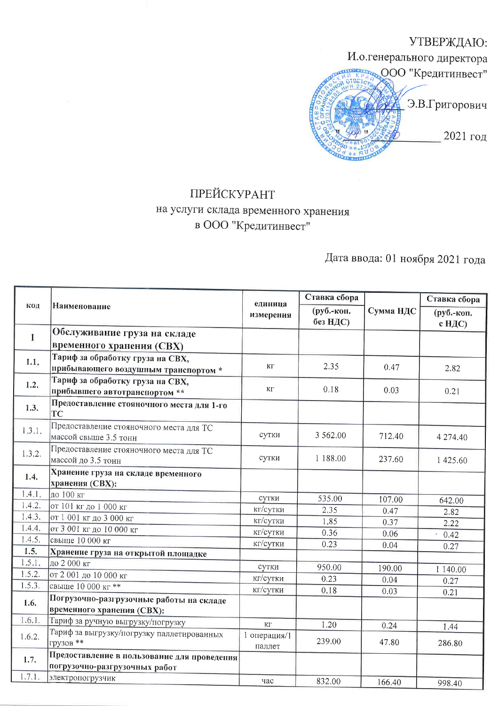

## ПРЕЙСКУРАНТ на услуги склада временного хранения в ООО "Кредитинвест"

Дата ввода: 01 ноября 2021 года

| код          | Наименование                                            | единица<br>измерения   | Ставка сбора<br>(руб.-коп.<br>без НДС) | Сумма НДС | Ставка сбора             |
|--------------|---------------------------------------------------------|------------------------|----------------------------------------|-----------|--------------------------|
|              |                                                         |                        |                                        |           | (руб.-коп.<br>с НД $C$ ) |
| $\mathbf{1}$ | Обслуживание груза на складе                            |                        |                                        |           |                          |
|              | временного хранения (СВХ)                               |                        |                                        |           |                          |
| 1.1          | Тариф за обработку груза на СВХ,                        |                        |                                        |           |                          |
|              | прибывающего воздушным транспортом *                    | ΚГ                     | 2.35                                   | 0.47      | 2.82                     |
| 1.2.         | Тариф за обработку груза на СВХ,                        |                        |                                        |           |                          |
|              | прибывшего автотранспортом **                           | КΓ                     | 0.18                                   | 0.03      | 0.21                     |
| 1.3.         | Предоставление стояночного места для 1-го               |                        |                                        |           |                          |
|              | <b>TC</b>                                               |                        |                                        |           |                          |
| 1.3.1.       | Предоставление стояночного места для ТС                 |                        |                                        |           |                          |
|              | массой свыше 3.5 тонн                                   | сутки                  | 3 5 6 2 . 0 0                          | 712.40    | 4 274.40                 |
| 1.3.2.       | Предоставление стояночного места для ТС                 |                        |                                        |           |                          |
|              | массой до 3.5 тонн                                      | сутки                  | 1 188.00                               | 237.60    | 1 425.60                 |
| 1.4.         | Хранение груза на складе временного                     |                        |                                        |           |                          |
|              | хранения (СВХ):                                         |                        |                                        |           |                          |
| 1.4.1.       | до 100 кг                                               | сутки                  | 535.00                                 | 107.00    | 642.00                   |
| 1.4.2.       | от 101 кг до 1 000 кг                                   | кг/сутки               | 2.35                                   | 0.47      | 2.82                     |
| 1.4.3.       | от 1 001 кг до 3 000 кг                                 | кг/сутки               | 1.85                                   | 0.37      | 2.22                     |
| 1.4.4.       | от 3 001 кг до 10 000 кг                                | кг/сутки               | 0.36                                   | 0.06      | 0.42<br>¥                |
| 1.4.5.       | свыше 10 000 кг                                         | кг/сутки               | 0.23                                   | 0.04      | 0.27                     |
| 1.5.         | Хранение груза на открытой площадке                     |                        |                                        |           |                          |
| 1.5.1.       | до 2 000 кг                                             | сутки                  | 950.00                                 | 190.00    | 1 140.00                 |
| 1.5.2.       | от 2 001 до 10 000 кг                                   | кг/сутки               | 0.23                                   | 0.04      | 0.27                     |
| 1.5.3.       | свыше 10 000 кг **                                      | кг/сутки               | 0.18                                   | 0.03      | 0.21                     |
| 1.6.         | Погрузочно-разгрузочные работы на складе                |                        |                                        |           |                          |
|              | временного хранения (CBX):                              |                        |                                        |           |                          |
| 1.6.1.       | Тариф за ручную выгрузку/погрузку                       | KГ                     | 1.20                                   | 0.24      | 1.44                     |
| 1.6.2.       | Тариф за выгрузку/погрузку паллетированных<br>грузов ** | 1 операция/1<br>паллет | 239.00                                 | 47.80     | 286.80                   |
| 1.7.         | Предоставление в пользование для проведения             |                        |                                        |           |                          |
|              | погрузочно-разгрузочных работ                           |                        |                                        |           |                          |
| 1.7.1.       | электропогрузчик                                        | час                    | 832.00                                 | 166.40    | 998.40                   |